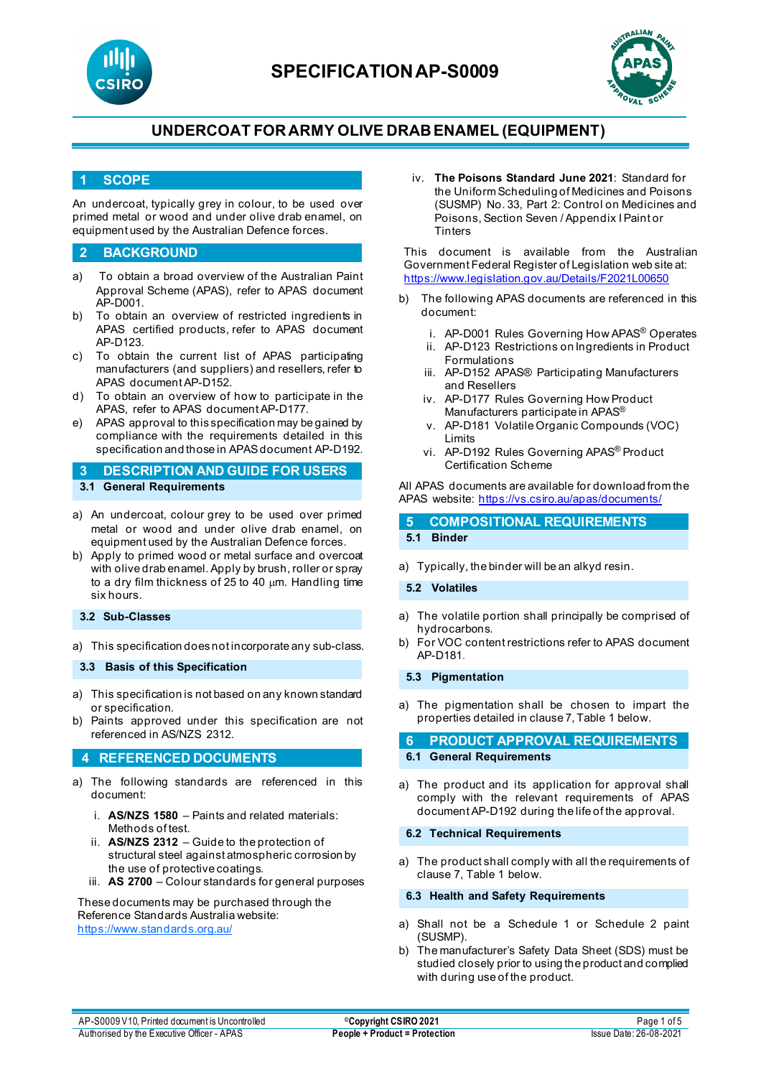



### **1 SCOPE**

An undercoat, typically grey in colour, to be used over primed metal or wood and under olive drab enamel, on equipment used by the Australian Defence forces.

#### **2 BACKGROUND**

- a) To obtain a broad overview of the Australian Paint Approval Scheme (APAS), refer to APAS document AP-D001.
- b) To obtain an overview of restricted ingredients in APAS certified products, refer to APAS document AP-D123.
- c) To obtain the current list of APAS participating manufacturers (and suppliers) and resellers, refer to APAS document AP-D152.
- d) To obtain an overview of how to participate in the APAS, refer to APAS document AP-D177.
- e) APAS approval to this specification may be gained by compliance with the requirements detailed in this specification and those in APAS document AP-D192.

**3 DESCRIPTION AND GUIDE FOR USERS 3.1 General Requirements**

- a) An undercoat, colour grey to be used over primed metal or wood and under olive drab enamel, on equipment used by the Australian Defence forces.
- b) Apply to primed wood or metal surface and overcoat with olive drab enamel. Apply by brush, roller or spray to a dry film thickness of 25 to 40  $\mu$ m. Handling time six hours.
- **3.2 Sub-Classes**

a) This specification does not incorporate any sub-class.

**3.3 Basis of this Specification**

- a) This specification is not based on any known standard or specification.
- b) Paints approved under this specification are not referenced in AS/NZS 2312.

### **4 REFERENCED DOCUMENTS**

- a) The following standards are referenced in this document:
	- i. **AS/NZS 1580** Paints and related materials: Methods of test.
	- ii. **AS/NZS 2312** Guide to the protection of structural steel against atmospheric corrosion by the use of protective coatings.
	- iii. **AS 2700**  Colour standards for general purposes

These documents may be purchased through the Reference Standards Australia website: <https://www.standards.org.au/>

iv. **The Poisons Standard June 2021**: Standard for the Uniform Scheduling of Medicines and Poisons (SUSMP) No. 33, Part 2: Control on Medicines and Poisons, Section Seven / Appendix I Paint or **Tinters** 

This document is available from the Australian Government Federal Register of Legislation web site at: <https://www.legislation.gov.au/Details/F2021L00650>

- b) The following APAS documents are referenced in this document:
	- i. AP-D001 Rules Governing How APAS® Operates
	- ii. AP-D123 Restrictions on Ingredients in Product Formulations
	- iii. AP-D152 APAS® Participating Manufacturers and Resellers
	- iv. AP-D177 Rules Governing How Product Manufacturers participate in APAS®
	- v. AP-D181 Volatile Organic Compounds (VOC) Limits
	- vi. AP-D192 Rules Governing APAS® Product Certification Scheme

All APAS documents are available for download from the APAS website:<https://vs.csiro.au/apas/documents/>

### **5 COMPOSITIONAL REQUIREMENTS 5.1 Binder**

a) Typically, the binder will be an alkyd resin.

#### **5.2 Volatiles**

- a) The volatile portion shall principally be comprised of hydrocarbons.
- b) For VOC content restrictions refer to APAS document AP-D181.

#### **5.3 Pigmentation**

a) The pigmentation shall be chosen to impart the properties detailed in clause 7, Table 1 below.

#### **6 PRODUCT APPROVAL REQUIREMENTS 6.1 General Requirements**

a) The product and its application for approval shall comply with the relevant requirements of APAS document AP-D192 during the life of the approval.

#### **6.2 Technical Requirements**

a) The product shall comply with all the requirements of clause 7, Table 1 below.

#### **6.3 Health and Safety Requirements**

- a) Shall not be a Schedule 1 or Schedule 2 paint (SUSMP).
- b) The manufacturer's Safety Data Sheet (SDS) must be studied closely prior to using the product and complied with during use of the product.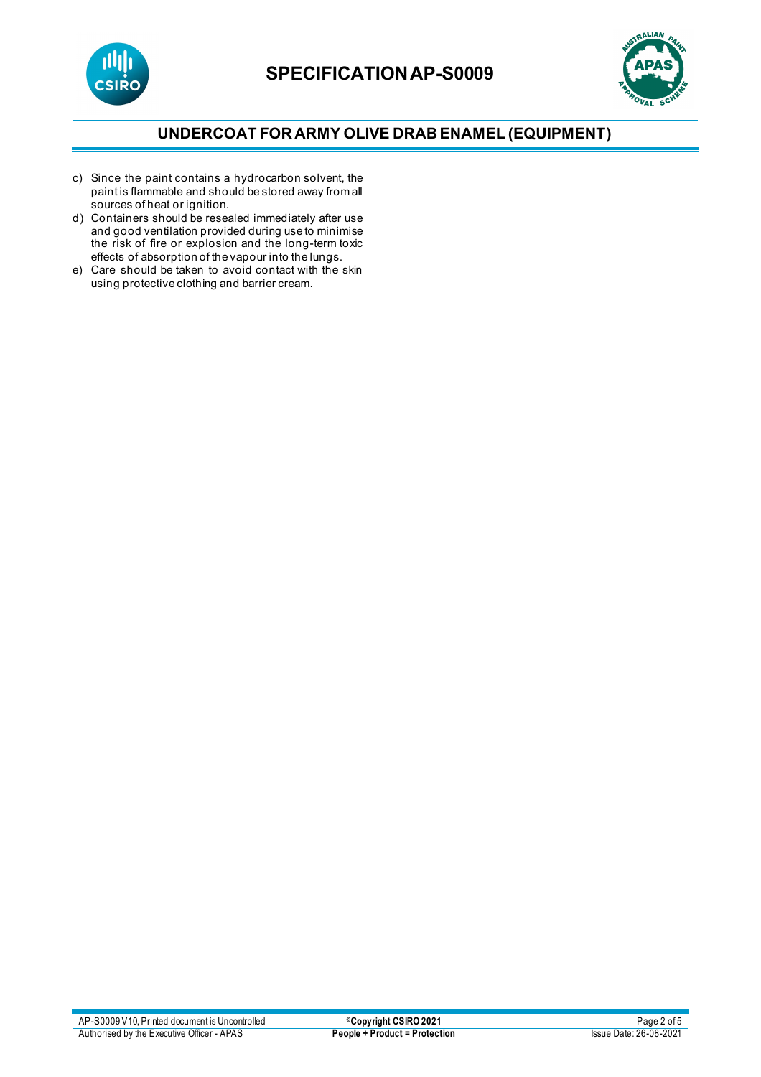



- c) Since the paint contains a hydrocarbon solvent, the paint is flammable and should be stored away from all sources of heat or ignition.
- d) Containers should be resealed immediately after use and good ventilation provided during use to minimise the risk of fire or explosion and the long-term toxic effects of absorption of the vapour into the lungs.
- e) Care should be taken to avoid contact with the skin using protective clothing and barrier cream.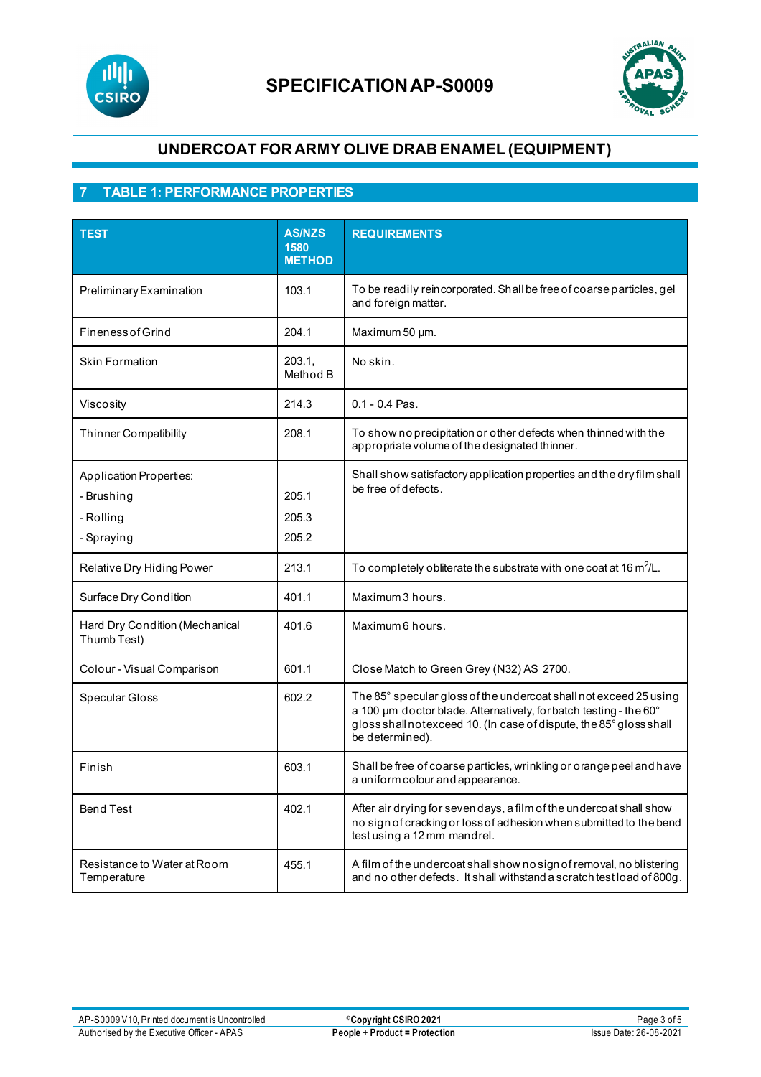



## **7 TABLE 1: PERFORMANCE PROPERTIES**

| <b>TEST</b>                                                      | <b>AS/NZS</b><br>1580<br><b>METHOD</b> | <b>REQUIREMENTS</b>                                                                                                                                                                                                             |
|------------------------------------------------------------------|----------------------------------------|---------------------------------------------------------------------------------------------------------------------------------------------------------------------------------------------------------------------------------|
| Preliminary Examination                                          | 103.1                                  | To be readily reincorporated. Shall be free of coarse particles, gel<br>and foreign matter.                                                                                                                                     |
| <b>Fineness of Grind</b>                                         | 204.1                                  | Maximum 50 µm.                                                                                                                                                                                                                  |
| <b>Skin Formation</b>                                            | 203.1,<br>Method B                     | No skin.                                                                                                                                                                                                                        |
| Viscosity                                                        | 214.3                                  | $0.1 - 0.4$ Pas.                                                                                                                                                                                                                |
| <b>Thinner Compatibility</b>                                     | 208.1                                  | To show no precipitation or other defects when thinned with the<br>appropriate volume of the designated thinner.                                                                                                                |
| Application Properties:<br>- Brushing<br>- Rolling<br>- Spraying | 205.1<br>205.3<br>205.2                | Shall show satisfactory application properties and the dry film shall<br>be free of defects.                                                                                                                                    |
| Relative Dry Hiding Power                                        | 213.1                                  | To completely obliterate the substrate with one coat at 16 $m^2/L$ .                                                                                                                                                            |
| Surface Dry Condition                                            | 401.1                                  | Maximum 3 hours.                                                                                                                                                                                                                |
| Hard Dry Condition (Mechanical<br>Thumb Test)                    | 401.6                                  | Maximum 6 hours.                                                                                                                                                                                                                |
| Colour - Visual Comparison                                       | 601.1                                  | Close Match to Green Grey (N32) AS 2700.                                                                                                                                                                                        |
| Specular Gloss                                                   | 602.2                                  | The 85° specular gloss of the undercoat shall not exceed 25 using<br>a 100 um doctor blade. Alternatively, for batch testing - the 60°<br>gloss shall notexceed 10. (In case of dispute, the 85° gloss shall<br>be determined). |
| Finish                                                           | 603.1                                  | Shall be free of coarse particles, wrinkling or orange peel and have<br>a uniform colour and appearance.                                                                                                                        |
| <b>Bend Test</b>                                                 | 402.1                                  | After air drying for seven days, a film of the undercoat shall show<br>no sign of cracking or loss of adhesion when submitted to the bend<br>test using a 12 mm mandrel.                                                        |
| Resistance to Water at Room<br>Temperature                       | 455.1                                  | A film of the undercoat shall show no sign of removal, no blistering<br>and no other defects. It shall withstand a scratch test load of 800g.                                                                                   |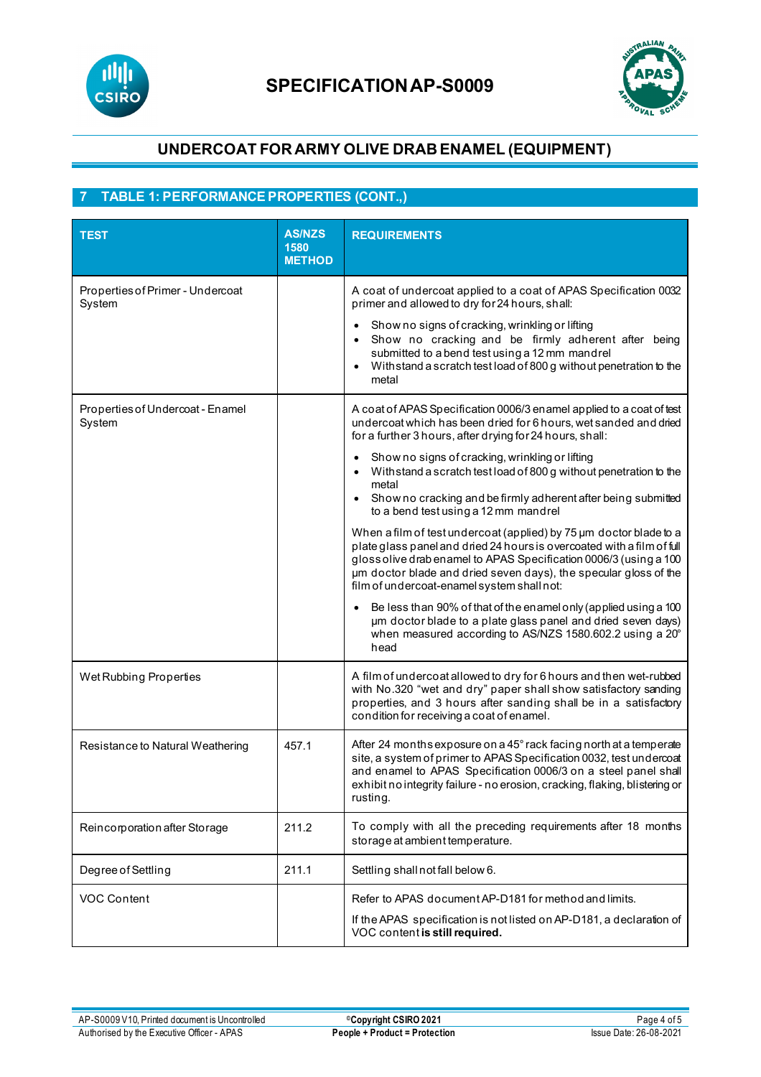



# **7 TABLE 1: PERFORMANCE PROPERTIES (CONT.,)**

| <b>TEST</b>                                | <b>AS/NZS</b><br>1580<br><b>METHOD</b> | <b>REQUIREMENTS</b>                                                                                                                                                                                                                                                                                                                 |
|--------------------------------------------|----------------------------------------|-------------------------------------------------------------------------------------------------------------------------------------------------------------------------------------------------------------------------------------------------------------------------------------------------------------------------------------|
| Properties of Primer - Undercoat<br>System |                                        | A coat of undercoat applied to a coat of APAS Specification 0032<br>primer and allowed to dry for 24 hours, shall:                                                                                                                                                                                                                  |
|                                            |                                        | Show no signs of cracking, wrinkling or lifting<br>Show no cracking and be firmly adherent after being<br>submitted to a bend test using a 12 mm mandrel<br>With stand a scratch test load of 800 g without penetration to the<br>$\bullet$<br>metal                                                                                |
| Properties of Undercoat - Enamel<br>System |                                        | A coat of APAS Specification 0006/3 enamel applied to a coat of test<br>undercoat which has been dried for 6 hours, wet sanded and dried<br>for a further 3 hours, after drying for 24 hours, shall:                                                                                                                                |
|                                            |                                        | Show no signs of cracking, wrinkling or lifting<br>$\bullet$<br>With stand a scratch test load of 800 g without penetration to the<br>$\bullet$<br>metal<br>Show no cracking and be firmly adherent after being submitted<br>to a bend test using a 12 mm mandrel                                                                   |
|                                            |                                        | When a film of test undercoat (applied) by 75 um doctor blade to a<br>plate glass panel and dried 24 hours is overcoated with a film of full<br>gloss olive drab enamel to APAS Specification 0006/3 (using a 100<br>um doctor blade and dried seven days), the specular gloss of the<br>film of undercoat-enamel system shall not: |
|                                            |                                        | Be less than 90% of that of the enamel only (applied using a 100<br>µm doctor blade to a plate glass panel and dried seven days)<br>when measured according to AS/NZS 1580.602.2 using a 20°<br>head                                                                                                                                |
| Wet Rubbing Properties                     |                                        | A film of undercoat allowed to dry for 6 hours and then wet-rubbed<br>with No.320 "wet and dry" paper shall show satisfactory sanding<br>properties, and 3 hours after sanding shall be in a satisfactory<br>condition for receiving a coat of enamel.                                                                              |
| Resistance to Natural Weathering           | 457.1                                  | After 24 months exposure on a 45° rack facing north at a temperate<br>site, a system of primer to APAS Specification 0032, test undercoat<br>and enamel to APAS Specification 0006/3 on a steel panel shall<br>exhibit no integrity failure - no erosion, cracking, flaking, blistering or<br>rusting.                              |
| Reincorporation after Storage              | 211.2                                  | To comply with all the preceding requirements after 18 months<br>storage at ambient temperature.                                                                                                                                                                                                                                    |
| Degree of Settling                         | 211.1                                  | Settling shall not fall below 6.                                                                                                                                                                                                                                                                                                    |
| <b>VOC Content</b>                         |                                        | Refer to APAS document AP-D181 for method and limits.<br>If the APAS specification is not listed on AP-D181, a declaration of<br>VOC content is still required.                                                                                                                                                                     |